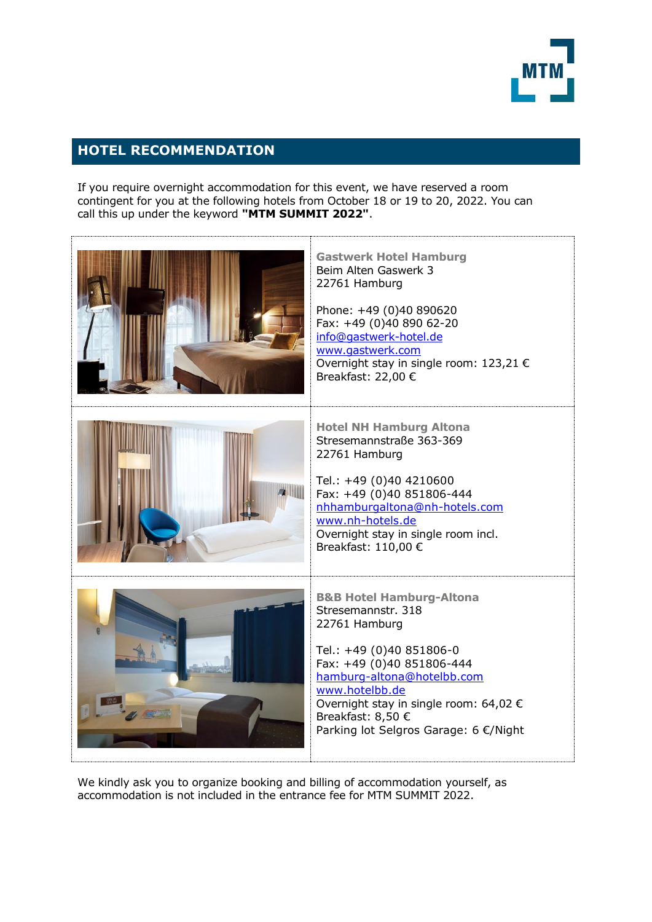

## **HOTEL RECOMMENDATION**

If you require overnight accommodation for this event, we have reserved a room contingent for you at the following hotels from October 18 or 19 to 20, 2022. You can call this up under the keyword **"MTM SUMMIT 2022"**.



We kindly ask you to organize booking and billing of accommodation yourself, as accommodation is not included in the entrance fee for MTM SUMMIT 2022.